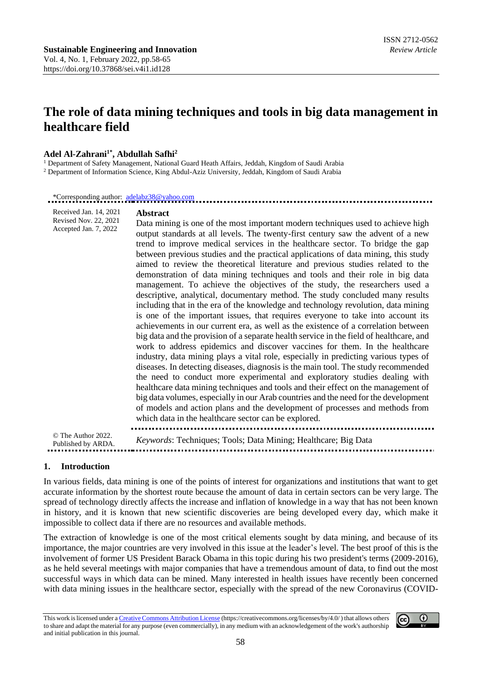# **The role of data mining techniques and tools in big data management in healthcare field**

#### **Adel Al-Zahrani1\* , Abdullah Safhi<sup>2</sup>**

Received Jan. 14, 2021

<sup>1</sup> Department of Safety Management, National Guard Heath Affairs, Jeddah, Kingdom of Saudi Arabia

<sup>2</sup> Department of Information Science, King Abdul-Aziz University, Jeddah, Kingdom of Saudi Arabia

\*Corresponding author: [adelabz38@yahoo.com](mailto:adelabz38@yahoo.com)

#### **Abstract**

Revised Nov. 22, 2021 Accepted Jan. 7, 2022 Data mining is one of the most important modern techniques used to achieve high output standards at all levels. The twenty-first century saw the advent of a new trend to improve medical services in the healthcare sector. To bridge the gap between previous studies and the practical applications of data mining, this study aimed to review the theoretical literature and previous studies related to the demonstration of data mining techniques and tools and their role in big data management. To achieve the objectives of the study, the researchers used a descriptive, analytical, documentary method. The study concluded many results including that in the era of the knowledge and technology revolution, data mining is one of the important issues, that requires everyone to take into account its achievements in our current era, as well as the existence of a correlation between big data and the provision of a separate health service in the field of healthcare, and work to address epidemics and discover vaccines for them. In the healthcare industry, data mining plays a vital role, especially in predicting various types of diseases. In detecting diseases, diagnosis is the main tool. The study recommended the need to conduct more experimental and exploratory studies dealing with healthcare data mining techniques and tools and their effect on the management of big data volumes, especially in our Arab countries and the need for the development of models and action plans and the development of processes and methods from which data in the healthcare sector can be explored.

© The Author 2022. Published by ARDA. *Keywords*: Techniques; Tools; Data Mining; Healthcare; Big Data

#### **1. Introduction**

In various fields, data mining is one of the points of interest for organizations and institutions that want to get accurate information by the shortest route because the amount of data in certain sectors can be very large. The spread of technology directly affects the increase and inflation of knowledge in a way that has not been known in history, and it is known that new scientific discoveries are being developed every day, which make it impossible to collect data if there are no resources and available methods.

The extraction of knowledge is one of the most critical elements sought by data mining, and because of its importance, the major countries are very involved in this issue at the leader's level. The best proof of this is the involvement of former US President Barack Obama in this topic during his two president's terms (2009-2016), as he held several meetings with major companies that have a tremendous amount of data, to find out the most successful ways in which data can be mined. Many interested in health issues have recently been concerned with data mining issues in the healthcare sector, especially with the spread of the new Coronavirus (COVID-

This work is licensed under [a Creative Commons Attribution License](https://creativecommons.org/licenses/by/4.0/) (https://creativecommons.org/licenses/by/4.0/ ) that allows others to share and adapt the material for any purpose (even commercially), in any medium with an acknowledgement of the work's authorship and initial publication in this journal.

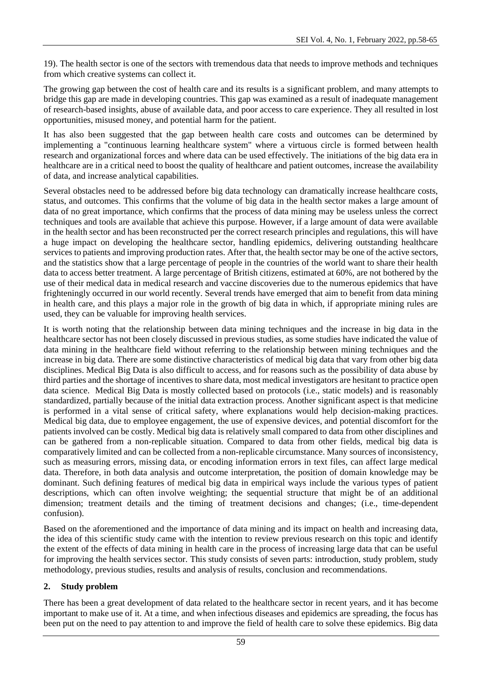19). The health sector is one of the sectors with tremendous data that needs to improve methods and techniques from which creative systems can collect it.

The growing gap between the cost of health care and its results is a significant problem, and many attempts to bridge this gap are made in developing countries. This gap was examined as a result of inadequate management of research-based insights, abuse of available data, and poor access to care experience. They all resulted in lost opportunities, misused money, and potential harm for the patient.

It has also been suggested that the gap between health care costs and outcomes can be determined by implementing a "continuous learning healthcare system" where a virtuous circle is formed between health research and organizational forces and where data can be used effectively. The initiations of the big data era in healthcare are in a critical need to boost the quality of healthcare and patient outcomes, increase the availability of data, and increase analytical capabilities.

Several obstacles need to be addressed before big data technology can dramatically increase healthcare costs, status, and outcomes. This confirms that the volume of big data in the health sector makes a large amount of data of no great importance, which confirms that the process of data mining may be useless unless the correct techniques and tools are available that achieve this purpose. However, if a large amount of data were available in the health sector and has been reconstructed per the correct research principles and regulations, this will have a huge impact on developing the healthcare sector, handling epidemics, delivering outstanding healthcare services to patients and improving production rates. After that, the health sector may be one of the active sectors, and the statistics show that a large percentage of people in the countries of the world want to share their health data to access better treatment. A large percentage of British citizens, estimated at 60%, are not bothered by the use of their medical data in medical research and vaccine discoveries due to the numerous epidemics that have frighteningly occurred in our world recently. Several trends have emerged that aim to benefit from data mining in health care, and this plays a major role in the growth of big data in which, if appropriate mining rules are used, they can be valuable for improving health services.

It is worth noting that the relationship between data mining techniques and the increase in big data in the healthcare sector has not been closely discussed in previous studies, as some studies have indicated the value of data mining in the healthcare field without referring to the relationship between mining techniques and the increase in big data. There are some distinctive characteristics of medical big data that vary from other big data disciplines. Medical Big Data is also difficult to access, and for reasons such as the possibility of data abuse by third parties and the shortage of incentives to share data, most medical investigators are hesitant to practice open data science. Medical Big Data is mostly collected based on protocols (i.e., static models) and is reasonably standardized, partially because of the initial data extraction process. Another significant aspect is that medicine is performed in a vital sense of critical safety, where explanations would help decision-making practices. Medical big data, due to employee engagement, the use of expensive devices, and potential discomfort for the patients involved can be costly. Medical big data is relatively small compared to data from other disciplines and can be gathered from a non-replicable situation. Compared to data from other fields, medical big data is comparatively limited and can be collected from a non-replicable circumstance. Many sources of inconsistency, such as measuring errors, missing data, or encoding information errors in text files, can affect large medical data. Therefore, in both data analysis and outcome interpretation, the position of domain knowledge may be dominant. Such defining features of medical big data in empirical ways include the various types of patient descriptions, which can often involve weighting; the sequential structure that might be of an additional dimension; treatment details and the timing of treatment decisions and changes; (i.e., time-dependent confusion).

Based on the aforementioned and the importance of data mining and its impact on health and increasing data, the idea of this scientific study came with the intention to review previous research on this topic and identify the extent of the effects of data mining in health care in the process of increasing large data that can be useful for improving the health services sector. This study consists of seven parts: introduction, study problem, study methodology, previous studies, results and analysis of results, conclusion and recommendations.

# **2. Study problem**

There has been a great development of data related to the healthcare sector in recent years, and it has become important to make use of it. At a time, and when infectious diseases and epidemics are spreading, the focus has been put on the need to pay attention to and improve the field of health care to solve these epidemics. Big data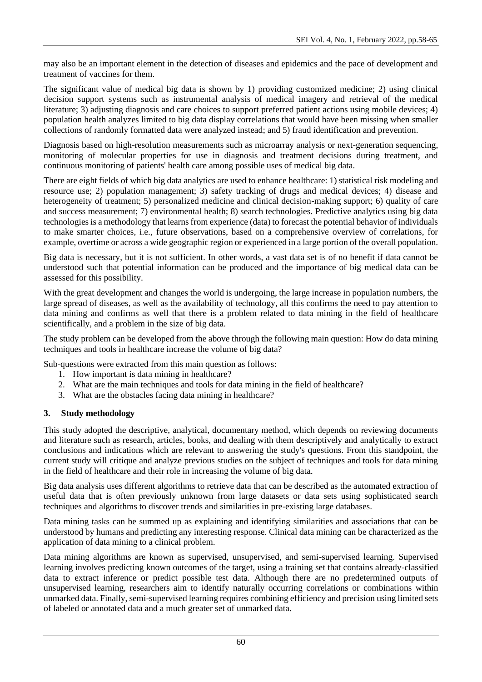may also be an important element in the detection of diseases and epidemics and the pace of development and treatment of vaccines for them.

The significant value of medical big data is shown by 1) providing customized medicine; 2) using clinical decision support systems such as instrumental analysis of medical imagery and retrieval of the medical literature; 3) adjusting diagnosis and care choices to support preferred patient actions using mobile devices; 4) population health analyzes limited to big data display correlations that would have been missing when smaller collections of randomly formatted data were analyzed instead; and 5) fraud identification and prevention.

Diagnosis based on high-resolution measurements such as microarray analysis or next-generation sequencing, monitoring of molecular properties for use in diagnosis and treatment decisions during treatment, and continuous monitoring of patients' health care among possible uses of medical big data.

There are eight fields of which big data analytics are used to enhance healthcare: 1) statistical risk modeling and resource use; 2) population management; 3) safety tracking of drugs and medical devices; 4) disease and heterogeneity of treatment; 5) personalized medicine and clinical decision-making support; 6) quality of care and success measurement; 7) environmental health; 8) search technologies. Predictive analytics using big data technologies is a methodology that learns from experience (data) to forecast the potential behavior of individuals to make smarter choices, i.e., future observations, based on a comprehensive overview of correlations, for example, overtime or across a wide geographic region or experienced in a large portion of the overall population.

Big data is necessary, but it is not sufficient. In other words, a vast data set is of no benefit if data cannot be understood such that potential information can be produced and the importance of big medical data can be assessed for this possibility.

With the great development and changes the world is undergoing, the large increase in population numbers, the large spread of diseases, as well as the availability of technology, all this confirms the need to pay attention to data mining and confirms as well that there is a problem related to data mining in the field of healthcare scientifically, and a problem in the size of big data.

The study problem can be developed from the above through the following main question: How do data mining techniques and tools in healthcare increase the volume of big data?

Sub-questions were extracted from this main question as follows:

- 1. How important is data mining in healthcare?
- 2. What are the main techniques and tools for data mining in the field of healthcare?
- 3. What are the obstacles facing data mining in healthcare?

# **3. Study methodology**

This study adopted the descriptive, analytical, documentary method, which depends on reviewing documents and literature such as research, articles, books, and dealing with them descriptively and analytically to extract conclusions and indications which are relevant to answering the study's questions. From this standpoint, the current study will critique and analyze previous studies on the subject of techniques and tools for data mining in the field of healthcare and their role in increasing the volume of big data.

Big data analysis uses different algorithms to retrieve data that can be described as the automated extraction of useful data that is often previously unknown from large datasets or data sets using sophisticated search techniques and algorithms to discover trends and similarities in pre-existing large databases.

Data mining tasks can be summed up as explaining and identifying similarities and associations that can be understood by humans and predicting any interesting response. Clinical data mining can be characterized as the application of data mining to a clinical problem.

Data mining algorithms are known as supervised, unsupervised, and semi-supervised learning. Supervised learning involves predicting known outcomes of the target, using a training set that contains already-classified data to extract inference or predict possible test data. Although there are no predetermined outputs of unsupervised learning, researchers aim to identify naturally occurring correlations or combinations within unmarked data. Finally, semi-supervised learning requires combining efficiency and precision using limited sets of labeled or annotated data and a much greater set of unmarked data.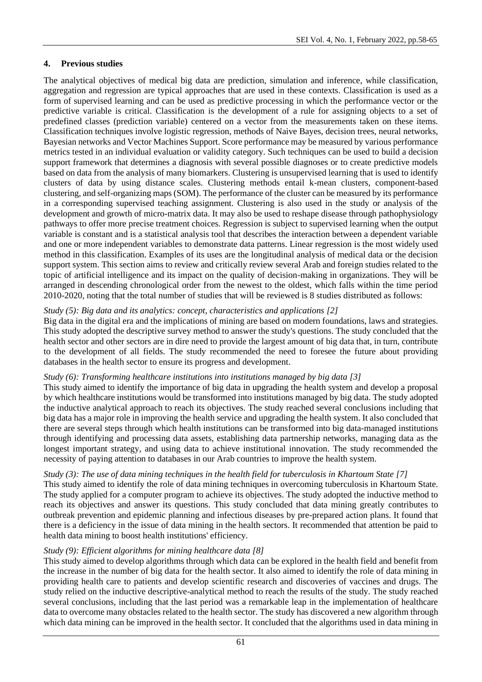# **4. Previous studies**

The analytical objectives of medical big data are prediction, simulation and inference, while classification, aggregation and regression are typical approaches that are used in these contexts. Classification is used as a form of supervised learning and can be used as predictive processing in which the performance vector or the predictive variable is critical. Classification is the development of a rule for assigning objects to a set of predefined classes (prediction variable) centered on a vector from the measurements taken on these items. Classification techniques involve logistic regression, methods of Naive Bayes, decision trees, neural networks, Bayesian networks and Vector Machines Support. Score performance may be measured by various performance metrics tested in an individual evaluation or validity category. Such techniques can be used to build a decision support framework that determines a diagnosis with several possible diagnoses or to create predictive models based on data from the analysis of many biomarkers. Clustering is unsupervised learning that is used to identify clusters of data by using distance scales. Clustering methods entail k-mean clusters, component-based clustering, and self-organizing maps (SOM). The performance of the cluster can be measured by its performance in a corresponding supervised teaching assignment. Clustering is also used in the study or analysis of the development and growth of micro-matrix data. It may also be used to reshape disease through pathophysiology pathways to offer more precise treatment choices. Regression is subject to supervised learning when the output variable is constant and is a statistical analysis tool that describes the interaction between a dependent variable and one or more independent variables to demonstrate data patterns. Linear regression is the most widely used method in this classification. Examples of its uses are the longitudinal analysis of medical data or the decision support system. This section aims to review and critically review several Arab and foreign studies related to the topic of artificial intelligence and its impact on the quality of decision-making in organizations. They will be arranged in descending chronological order from the newest to the oldest, which falls within the time period 2010-2020, noting that the total number of studies that will be reviewed is 8 studies distributed as follows:

#### *Study (5): Big data and its analytics: concept, characteristics and applications [2]*

Big data in the digital era and the implications of mining are based on modern foundations, laws and strategies. This study adopted the descriptive survey method to answer the study's questions. The study concluded that the health sector and other sectors are in dire need to provide the largest amount of big data that, in turn, contribute to the development of all fields. The study recommended the need to foresee the future about providing databases in the health sector to ensure its progress and development.

#### *Study (6): Transforming healthcare institutions into institutions managed by big data [3]*

This study aimed to identify the importance of big data in upgrading the health system and develop a proposal by which healthcare institutions would be transformed into institutions managed by big data. The study adopted the inductive analytical approach to reach its objectives. The study reached several conclusions including that big data has a major role in improving the health service and upgrading the health system. It also concluded that there are several steps through which health institutions can be transformed into big data-managed institutions through identifying and processing data assets, establishing data partnership networks, managing data as the longest important strategy, and using data to achieve institutional innovation. The study recommended the necessity of paying attention to databases in our Arab countries to improve the health system.

#### *Study (3): The use of data mining techniques in the health field for tuberculosis in Khartoum State [7]*

This study aimed to identify the role of data mining techniques in overcoming tuberculosis in Khartoum State. The study applied for a computer program to achieve its objectives. The study adopted the inductive method to reach its objectives and answer its questions. This study concluded that data mining greatly contributes to outbreak prevention and epidemic planning and infectious diseases by pre-prepared action plans. It found that there is a deficiency in the issue of data mining in the health sectors. It recommended that attention be paid to health data mining to boost health institutions' efficiency.

#### *Study (9): Efficient algorithms for mining healthcare data [8]*

This study aimed to develop algorithms through which data can be explored in the health field and benefit from the increase in the number of big data for the health sector. It also aimed to identify the role of data mining in providing health care to patients and develop scientific research and discoveries of vaccines and drugs. The study relied on the inductive descriptive-analytical method to reach the results of the study. The study reached several conclusions, including that the last period was a remarkable leap in the implementation of healthcare data to overcome many obstacles related to the health sector. The study has discovered a new algorithm through which data mining can be improved in the health sector. It concluded that the algorithms used in data mining in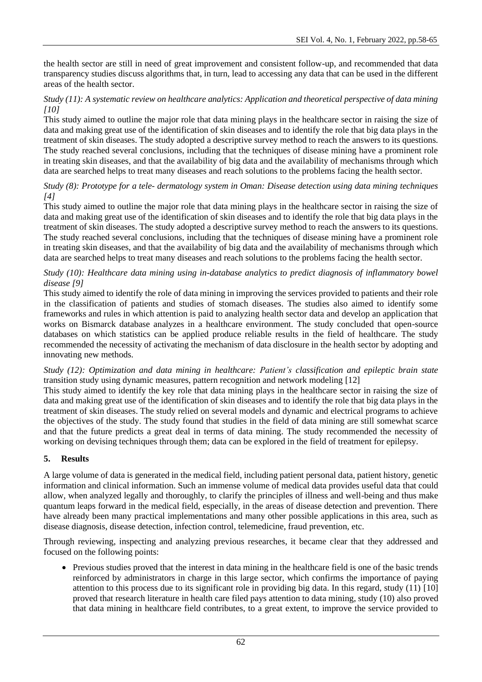the health sector are still in need of great improvement and consistent follow-up, and recommended that data transparency studies discuss algorithms that, in turn, lead to accessing any data that can be used in the different areas of the health sector.

#### *Study (11): A systematic review on healthcare analytics: Application and theoretical perspective of data mining [10]*

This study aimed to outline the major role that data mining plays in the healthcare sector in raising the size of data and making great use of the identification of skin diseases and to identify the role that big data plays in the treatment of skin diseases. The study adopted a descriptive survey method to reach the answers to its questions. The study reached several conclusions, including that the techniques of disease mining have a prominent role in treating skin diseases, and that the availability of big data and the availability of mechanisms through which data are searched helps to treat many diseases and reach solutions to the problems facing the health sector.

## *Study (8): Prototype for a tele- dermatology system in Oman: Disease detection using data mining techniques [4]*

This study aimed to outline the major role that data mining plays in the healthcare sector in raising the size of data and making great use of the identification of skin diseases and to identify the role that big data plays in the treatment of skin diseases. The study adopted a descriptive survey method to reach the answers to its questions. The study reached several conclusions, including that the techniques of disease mining have a prominent role in treating skin diseases, and that the availability of big data and the availability of mechanisms through which data are searched helps to treat many diseases and reach solutions to the problems facing the health sector.

## *Study (10): Healthcare data mining using in-database analytics to predict diagnosis of inflammatory bowel disease [9]*

This study aimed to identify the role of data mining in improving the services provided to patients and their role in the classification of patients and studies of stomach diseases. The studies also aimed to identify some frameworks and rules in which attention is paid to analyzing health sector data and develop an application that works on Bismarck database analyzes in a healthcare environment. The study concluded that open-source databases on which statistics can be applied produce reliable results in the field of healthcare. The study recommended the necessity of activating the mechanism of data disclosure in the health sector by adopting and innovating new methods.

*Study (12): Optimization and data mining in healthcare: Patient's classification and epileptic brain state* transition study using dynamic measures, pattern recognition and network modeling [12]

This study aimed to identify the key role that data mining plays in the healthcare sector in raising the size of data and making great use of the identification of skin diseases and to identify the role that big data plays in the treatment of skin diseases. The study relied on several models and dynamic and electrical programs to achieve the objectives of the study. The study found that studies in the field of data mining are still somewhat scarce and that the future predicts a great deal in terms of data mining. The study recommended the necessity of working on devising techniques through them; data can be explored in the field of treatment for epilepsy.

# **5. Results**

A large volume of data is generated in the medical field, including patient personal data, patient history, genetic information and clinical information. Such an immense volume of medical data provides useful data that could allow, when analyzed legally and thoroughly, to clarify the principles of illness and well-being and thus make quantum leaps forward in the medical field, especially, in the areas of disease detection and prevention. There have already been many practical implementations and many other possible applications in this area, such as disease diagnosis, disease detection, infection control, telemedicine, fraud prevention, etc.

Through reviewing, inspecting and analyzing previous researches, it became clear that they addressed and focused on the following points:

• Previous studies proved that the interest in data mining in the healthcare field is one of the basic trends reinforced by administrators in charge in this large sector, which confirms the importance of paying attention to this process due to its significant role in providing big data. In this regard, study (11) [10] proved that research literature in health care filed pays attention to data mining, study (10) also proved that data mining in healthcare field contributes, to a great extent, to improve the service provided to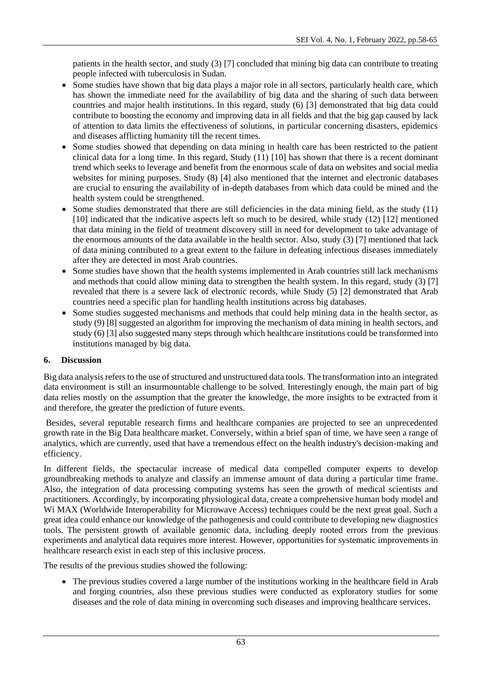patients in the health sector, and study (3) [7] concluded that mining big data can contribute to treating people infected with tuberculosis in Sudan.

- Some studies have shown that big data plays a major role in all sectors, particularly health care, which has shown the immediate need for the availability of big data and the sharing of such data between countries and major health institutions. In this regard, study (6) [3] demonstrated that big data could contribute to boosting the economy and improving data in all fields and that the big gap caused by lack of attention to data limits the effectiveness of solutions, in particular concerning disasters, epidemics and diseases afflicting humanity till the recent times.
- Some studies showed that depending on data mining in health care has been restricted to the patient clinical data for a long time. In this regard, Study (11) [10] has shown that there is a recent dominant trend which seeks to leverage and benefit from the enormous scale of data on websites and social media websites for mining purposes. Study (8) [4] also mentioned that the internet and electronic databases are crucial to ensuring the availability of in-depth databases from which data could be mined and the health system could be strengthened.
- Some studies demonstrated that there are still deficiencies in the data mining field, as the study (11) [10] indicated that the indicative aspects left so much to be desired, while study (12) [12] mentioned that data mining in the field of treatment discovery still in need for development to take advantage of the enormous amounts of the data available in the health sector. Also, study (3) [7] mentioned that lack of data mining contributed to a great extent to the failure in defeating infectious diseases immediately after they are detected in most Arab countries.
- Some studies have shown that the health systems implemented in Arab countries still lack mechanisms and methods that could allow mining data to strengthen the health system. In this regard, study (3) [7] revealed that there is a severe lack of electronic records, while Study (5) [2] demonstrated that Arab countries need a specific plan for handling health institutions across big databases.
- Some studies suggested mechanisms and methods that could help mining data in the health sector, as study (9) [8] suggested an algorithm for improving the mechanism of data mining in health sectors, and study (6) [3] also suggested many steps through which healthcare institutions could be transformed into institutions managed by big data.

#### **6. Discussion**

Big data analysis refers to the use of structured and unstructured data tools. The transformation into an integrated data environment is still an insurmountable challenge to be solved. Interestingly enough, the main part of big data relies mostly on the assumption that the greater the knowledge, the more insights to be extracted from it and therefore, the greater the prediction of future events.

Besides, several reputable research firms and healthcare companies are projected to see an unprecedented growth rate in the Big Data healthcare market. Conversely, within a brief span of time, we have seen a range of analytics, which are currently, used that have a tremendous effect on the health industry's decision-making and efficiency.

In different fields, the spectacular increase of medical data compelled computer experts to develop groundbreaking methods to analyze and classify an immense amount of data during a particular time frame. Also, the integration of data processing computing systems has seen the growth of medical scientists and practitioners. Accordingly, by incorporating physiological data, create a comprehensive human body model and Wi MAX (Worldwide Interoperability for Microwave Access) techniques could be the next great goal. Such a great idea could enhance our knowledge of the pathogenesis and could contribute to developing new diagnostics tools. The persistent growth of available genomic data, including deeply rooted errors from the previous experiments and analytical data requires more interest. However, opportunities for systematic improvements in healthcare research exist in each step of this inclusive process.

The results of the previous studies showed the following:

• The previous studies covered a large number of the institutions working in the healthcare field in Arab and forging countries, also these previous studies were conducted as exploratory studies for some diseases and the role of data mining in overcoming such diseases and improving healthcare services.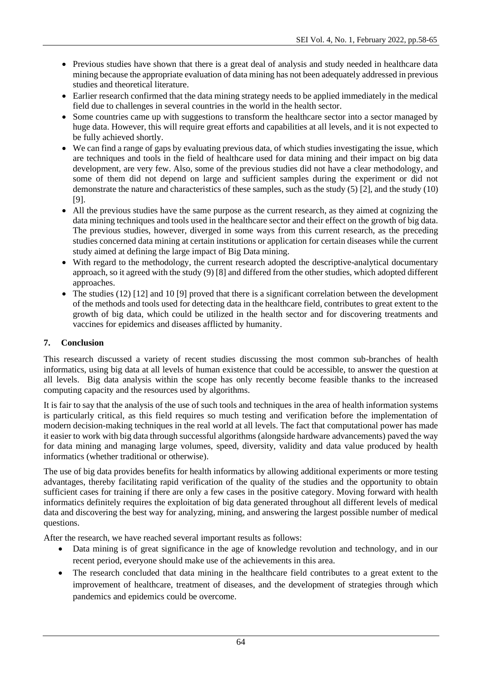- Previous studies have shown that there is a great deal of analysis and study needed in healthcare data mining because the appropriate evaluation of data mining has not been adequately addressed in previous studies and theoretical literature.
- Earlier research confirmed that the data mining strategy needs to be applied immediately in the medical field due to challenges in several countries in the world in the health sector.
- Some countries came up with suggestions to transform the healthcare sector into a sector managed by huge data. However, this will require great efforts and capabilities at all levels, and it is not expected to be fully achieved shortly.
- We can find a range of gaps by evaluating previous data, of which studies investigating the issue, which are techniques and tools in the field of healthcare used for data mining and their impact on big data development, are very few. Also, some of the previous studies did not have a clear methodology, and some of them did not depend on large and sufficient samples during the experiment or did not demonstrate the nature and characteristics of these samples, such as the study (5) [2], and the study (10) [9].
- All the previous studies have the same purpose as the current research, as they aimed at cognizing the data mining techniques and tools used in the healthcare sector and their effect on the growth of big data. The previous studies, however, diverged in some ways from this current research, as the preceding studies concerned data mining at certain institutions or application for certain diseases while the current study aimed at defining the large impact of Big Data mining.
- With regard to the methodology, the current research adopted the descriptive-analytical documentary approach, so it agreed with the study (9) [8] and differed from the other studies, which adopted different approaches.
- The studies (12) [12] and 10 [9] proved that there is a significant correlation between the development of the methods and tools used for detecting data in the healthcare field, contributes to great extent to the growth of big data, which could be utilized in the health sector and for discovering treatments and vaccines for epidemics and diseases afflicted by humanity.

# **7. Conclusion**

This research discussed a variety of recent studies discussing the most common sub-branches of health informatics, using big data at all levels of human existence that could be accessible, to answer the question at all levels. Big data analysis within the scope has only recently become feasible thanks to the increased computing capacity and the resources used by algorithms.

It is fair to say that the analysis of the use of such tools and techniques in the area of health information systems is particularly critical, as this field requires so much testing and verification before the implementation of modern decision-making techniques in the real world at all levels. The fact that computational power has made it easier to work with big data through successful algorithms (alongside hardware advancements) paved the way for data mining and managing large volumes, speed, diversity, validity and data value produced by health informatics (whether traditional or otherwise).

The use of big data provides benefits for health informatics by allowing additional experiments or more testing advantages, thereby facilitating rapid verification of the quality of the studies and the opportunity to obtain sufficient cases for training if there are only a few cases in the positive category. Moving forward with health informatics definitely requires the exploitation of big data generated throughout all different levels of medical data and discovering the best way for analyzing, mining, and answering the largest possible number of medical questions.

After the research, we have reached several important results as follows:

- Data mining is of great significance in the age of knowledge revolution and technology, and in our recent period, everyone should make use of the achievements in this area.
- The research concluded that data mining in the healthcare field contributes to a great extent to the improvement of healthcare, treatment of diseases, and the development of strategies through which pandemics and epidemics could be overcome.